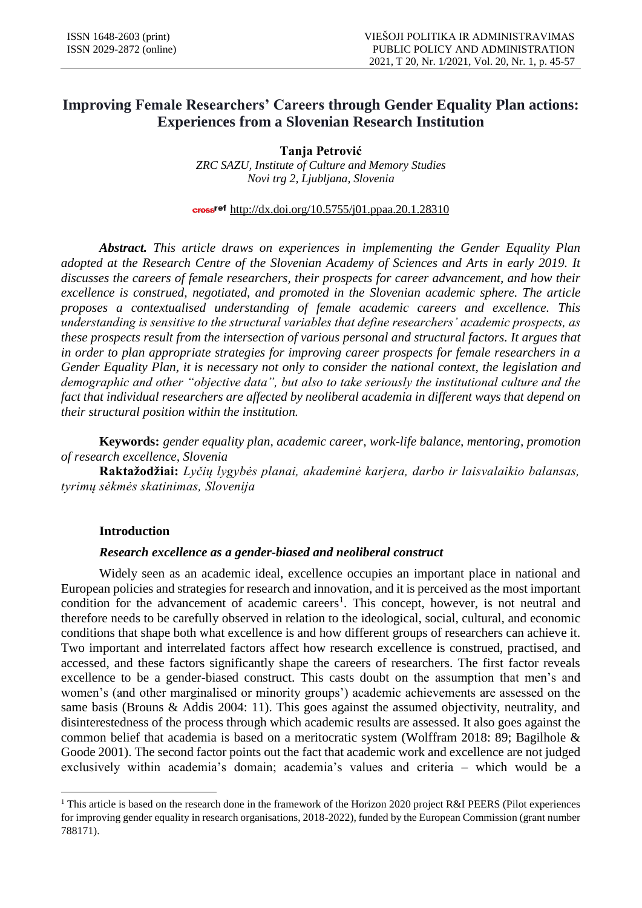# **Improving Female Researchers' Careers through Gender Equality Plan actions: Experiences from a Slovenian Research Institution**

**Tanja Petrović** *ZRC SAZU, Institute of Culture and Memory Studies Novi trg 2, Ljubljana, Slovenia*

# cross<sup>ref</sup> http://dx.doi.org/10.5755/j01.ppaa.20.1.28310

*Abstract. This article draws on experiences in implementing the Gender Equality Plan adopted at the Research Centre of the Slovenian Academy of Sciences and Arts in early 2019. It discusses the careers of female researchers, their prospects for career advancement, and how their excellence is construed, negotiated, and promoted in the Slovenian academic sphere. The article proposes a contextualised understanding of female academic careers and excellence. This understanding is sensitive to the structural variables that define researchers' academic prospects, as these prospects result from the intersection of various personal and structural factors. It argues that in order to plan appropriate strategies for improving career prospects for female researchers in a Gender Equality Plan, it is necessary not only to consider the national context, the legislation and demographic and other "objective data", but also to take seriously the institutional culture and the fact that individual researchers are affected by neoliberal academia in different ways that depend on their structural position within the institution.*

**Keywords:** *gender equality plan, academic career, work-life balance, mentoring, promotion of research excellence, Slovenia*

**Raktažodžiai:** *Lyčių lygybės planai, akademinė karjera, darbo ir laisvalaikio balansas, tyrimų sėkmės skatinimas, Slovenija*

# **Introduction**

# *Research excellence as a gender-biased and neoliberal construct*

Widely seen as an academic ideal, excellence occupies an important place in national and European policies and strategies for research and innovation, and it is perceived as the most important condition for the advancement of academic careers<sup>1</sup>. This concept, however, is not neutral and therefore needs to be carefully observed in relation to the ideological, social, cultural, and economic conditions that shape both what excellence is and how different groups of researchers can achieve it. Two important and interrelated factors affect how research excellence is construed, practised, and accessed, and these factors significantly shape the careers of researchers. The first factor reveals excellence to be a gender-biased construct. This casts doubt on the assumption that men's and women's (and other marginalised or minority groups') academic achievements are assessed on the same basis (Brouns & Addis 2004: 11). This goes against the assumed objectivity, neutrality, and disinterestedness of the process through which academic results are assessed. It also goes against the common belief that academia is based on a meritocratic system (Wolffram 2018: 89; Bagilhole & Goode 2001). The second factor points out the fact that academic work and excellence are not judged exclusively within academia's domain; academia's values and criteria – which would be a

**<sup>.</sup>** <sup>1</sup> This article is based on the research done in the framework of the Horizon 2020 project R&I PEERS (Pilot experiences for improving gender equality in research organisations, 2018-2022), funded by the European Commission (grant number 788171).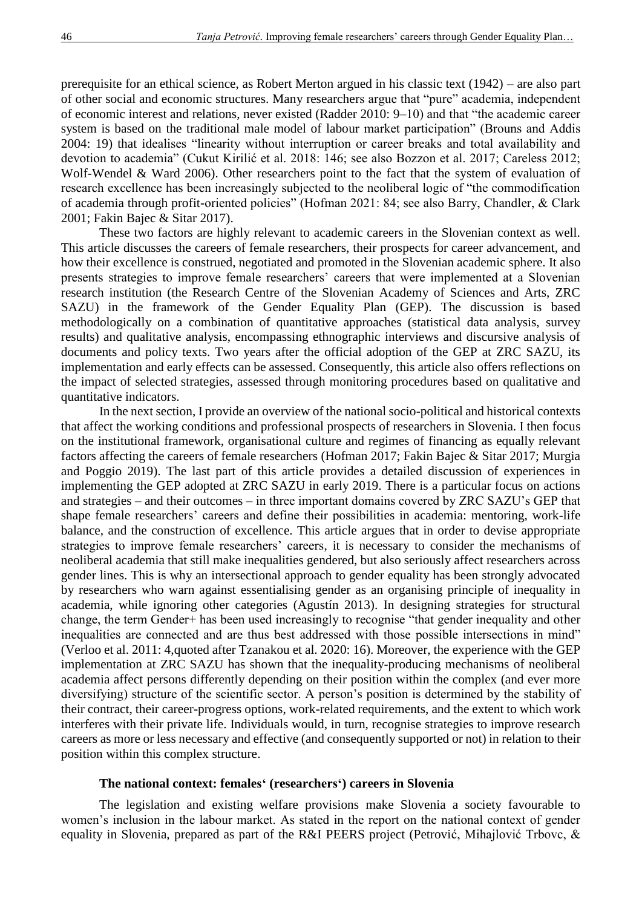prerequisite for an ethical science, as Robert Merton argued in his classic text (1942) – are also part of other social and economic structures. Many researchers argue that "pure" academia, independent of economic interest and relations, never existed (Radder 2010: 9–10) and that "the academic career system is based on the traditional male model of labour market participation" (Brouns and Addis 2004: 19) that idealises "linearity without interruption or career breaks and total availability and devotion to academia" (Cukut Kirilić et al. 2018: 146; see also Bozzon et al. 2017; Careless 2012; Wolf-Wendel & Ward 2006). Other researchers point to the fact that the system of evaluation of research excellence has been increasingly subjected to the neoliberal logic of "the commodification of academia through profit-oriented policies" (Hofman 2021: 84; see also Barry, Chandler, & Clark 2001; Fakin Bajec & Sitar 2017).

These two factors are highly relevant to academic careers in the Slovenian context as well. This article discusses the careers of female researchers, their prospects for career advancement, and how their excellence is construed, negotiated and promoted in the Slovenian academic sphere. It also presents strategies to improve female researchers' careers that were implemented at a Slovenian research institution (the Research Centre of the Slovenian Academy of Sciences and Arts, ZRC SAZU) in the framework of the Gender Equality Plan (GEP). The discussion is based methodologically on a combination of quantitative approaches (statistical data analysis, survey results) and qualitative analysis, encompassing ethnographic interviews and discursive analysis of documents and policy texts. Two years after the official adoption of the GEP at ZRC SAZU, its implementation and early effects can be assessed. Consequently, this article also offers reflections on the impact of selected strategies, assessed through monitoring procedures based on qualitative and quantitative indicators.

In the next section, I provide an overview of the national socio-political and historical contexts that affect the working conditions and professional prospects of researchers in Slovenia. I then focus on the institutional framework, organisational culture and regimes of financing as equally relevant factors affecting the careers of female researchers (Hofman 2017; Fakin Bajec & Sitar 2017; Murgia and Poggio 2019). The last part of this article provides a detailed discussion of experiences in implementing the GEP adopted at ZRC SAZU in early 2019. There is a particular focus on actions and strategies – and their outcomes – in three important domains covered by ZRC SAZU's GEP that shape female researchers' careers and define their possibilities in academia: mentoring, work-life balance, and the construction of excellence. This article argues that in order to devise appropriate strategies to improve female researchers' careers, it is necessary to consider the mechanisms of neoliberal academia that still make inequalities gendered, but also seriously affect researchers across gender lines. This is why an intersectional approach to gender equality has been strongly advocated by researchers who warn against essentialising gender as an organising principle of inequality in academia, while ignoring other categories (Agustín 2013). In designing strategies for structural change, the term Gender+ has been used increasingly to recognise "that gender inequality and other inequalities are connected and are thus best addressed with those possible intersections in mind" (Verloo et al. 2011: 4,quoted after Tzanakou et al. 2020: 16). Moreover, the experience with the GEP implementation at ZRC SAZU has shown that the inequality-producing mechanisms of neoliberal academia affect persons differently depending on their position within the complex (and ever more diversifying) structure of the scientific sector. A person's position is determined by the stability of their contract, their career-progress options, work-related requirements, and the extent to which work interferes with their private life. Individuals would, in turn, recognise strategies to improve research careers as more or less necessary and effective (and consequently supported or not) in relation to their position within this complex structure.

### **The national context: females' (researchers') careers in Slovenia**

The legislation and existing welfare provisions make Slovenia a society favourable to women's inclusion in the labour market. As stated in the report on the national context of gender equality in Slovenia, prepared as part of the R&I PEERS project (Petrović, Mihajlović Trbovc, &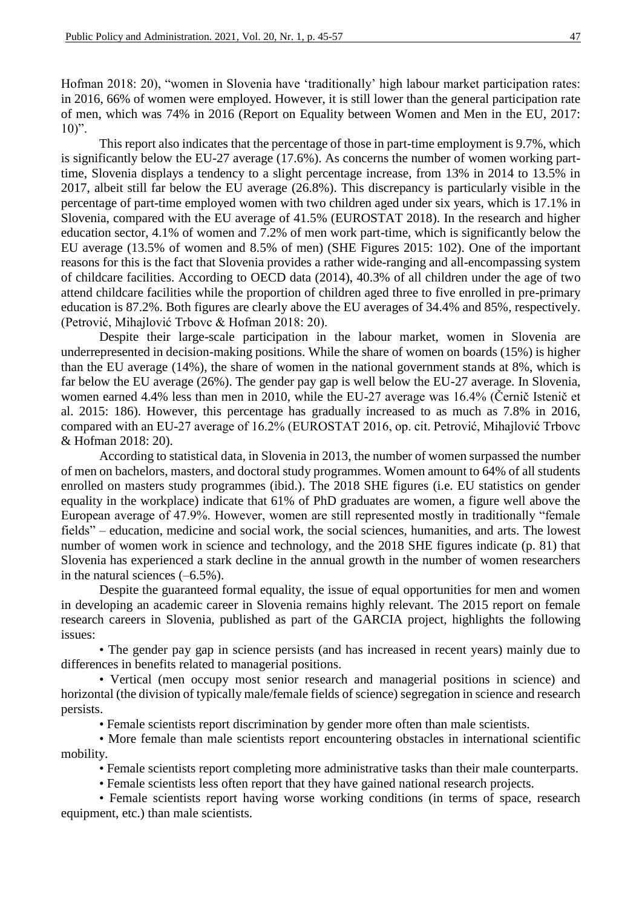Hofman 2018: 20), "women in Slovenia have 'traditionally' high labour market participation rates: in 2016, 66% of women were employed. However, it is still lower than the general participation rate of men, which was 74% in 2016 (Report on Equality between Women and Men in the EU, 2017:  $10$ ".

This report also indicates that the percentage of those in part-time employment is 9.7%, which is significantly below the EU-27 average (17.6%). As concerns the number of women working parttime, Slovenia displays a tendency to a slight percentage increase, from 13% in 2014 to 13.5% in 2017, albeit still far below the EU average (26.8%). This discrepancy is particularly visible in the percentage of part-time employed women with two children aged under six years, which is 17.1% in Slovenia, compared with the EU average of 41.5% (EUROSTAT 2018). In the research and higher education sector, 4.1% of women and 7.2% of men work part-time, which is significantly below the EU average (13.5% of women and 8.5% of men) (SHE Figures 2015: 102). One of the important reasons for this is the fact that Slovenia provides a rather wide-ranging and all-encompassing system of childcare facilities. According to OECD data (2014), 40.3% of all children under the age of two attend childcare facilities while the proportion of children aged three to five enrolled in pre-primary education is 87.2%. Both figures are clearly above the EU averages of 34.4% and 85%, respectively. (Petrović, Mihajlović Trbovc & Hofman 2018: 20).

Despite their large-scale participation in the labour market, women in Slovenia are underrepresented in decision-making positions. While the share of women on boards (15%) is higher than the EU average (14%), the share of women in the national government stands at 8%, which is far below the EU average (26%). The gender pay gap is well below the EU-27 average. In Slovenia, women earned 4.4% less than men in 2010, while the EU-27 average was 16.4% (Černič Istenič et al. 2015: 186). However, this percentage has gradually increased to as much as 7.8% in 2016, compared with an EU-27 average of 16.2% (EUROSTAT 2016, op. cit. Petrović, Mihajlović Trbovc & Hofman 2018: 20).

According to statistical data, in Slovenia in 2013, the number of women surpassed the number of men on bachelors, masters, and doctoral study programmes. Women amount to 64% of all students enrolled on masters study programmes (ibid.). The 2018 SHE figures (i.e. EU statistics on gender equality in the workplace) indicate that 61% of PhD graduates are women, a figure well above the European average of 47.9%. However, women are still represented mostly in traditionally "female fields" – education, medicine and social work, the social sciences, humanities, and arts. The lowest number of women work in science and technology, and the 2018 SHE figures indicate (p. 81) that Slovenia has experienced a stark decline in the annual growth in the number of women researchers in the natural sciences (–6.5%).

Despite the guaranteed formal equality, the issue of equal opportunities for men and women in developing an academic career in Slovenia remains highly relevant. The 2015 report on female research careers in Slovenia, published as part of the GARCIA project, highlights the following issues:

• The gender pay gap in science persists (and has increased in recent years) mainly due to differences in benefits related to managerial positions.

• Vertical (men occupy most senior research and managerial positions in science) and horizontal (the division of typically male/female fields of science) segregation in science and research persists.

• Female scientists report discrimination by gender more often than male scientists.

• More female than male scientists report encountering obstacles in international scientific mobility.

• Female scientists report completing more administrative tasks than their male counterparts.

• Female scientists less often report that they have gained national research projects.

• Female scientists report having worse working conditions (in terms of space, research equipment, etc.) than male scientists.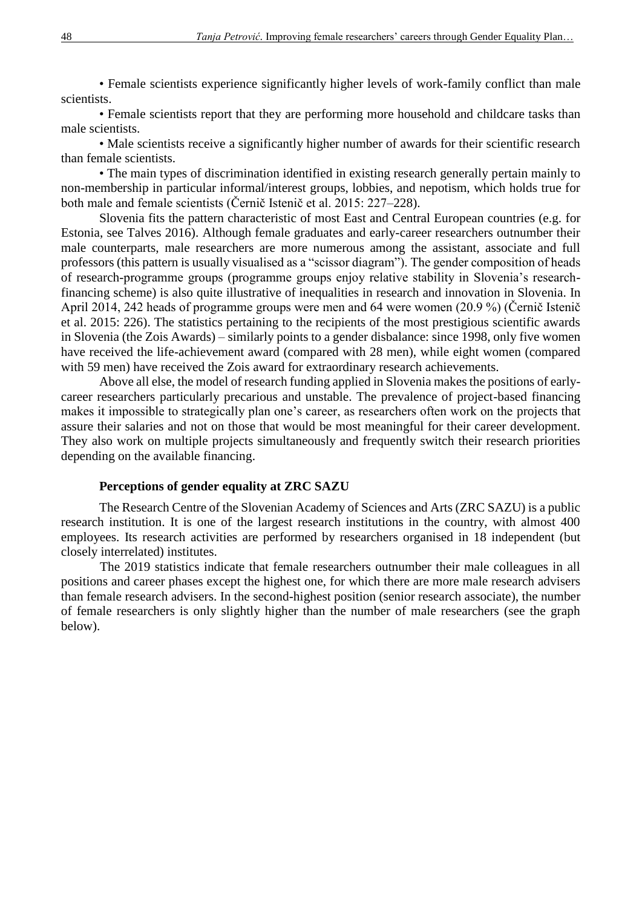• Female scientists experience significantly higher levels of work-family conflict than male scientists.

• Female scientists report that they are performing more household and childcare tasks than male scientists.

• Male scientists receive a significantly higher number of awards for their scientific research than female scientists.

• The main types of discrimination identified in existing research generally pertain mainly to non-membership in particular informal/interest groups, lobbies, and nepotism, which holds true for both male and female scientists (Černič Istenič et al. 2015: 227–228).

Slovenia fits the pattern characteristic of most East and Central European countries (e.g. for Estonia, see Talves 2016). Although female graduates and early-career researchers outnumber their male counterparts, male researchers are more numerous among the assistant, associate and full professors (this pattern is usually visualised as a "scissor diagram"). The gender composition of heads of research-programme groups (programme groups enjoy relative stability in Slovenia's researchfinancing scheme) is also quite illustrative of inequalities in research and innovation in Slovenia. In April 2014, 242 heads of programme groups were men and 64 were women (20.9 %) (Černič Istenič et al. 2015: 226). The statistics pertaining to the recipients of the most prestigious scientific awards in Slovenia (the Zois Awards) – similarly points to a gender disbalance: since 1998, only five women have received the life-achievement award (compared with 28 men), while eight women (compared with 59 men) have received the Zois award for extraordinary research achievements.

Above all else, the model of research funding applied in Slovenia makes the positions of earlycareer researchers particularly precarious and unstable. The prevalence of project-based financing makes it impossible to strategically plan one's career, as researchers often work on the projects that assure their salaries and not on those that would be most meaningful for their career development. They also work on multiple projects simultaneously and frequently switch their research priorities depending on the available financing.

### **Perceptions of gender equality at ZRC SAZU**

The Research Centre of the Slovenian Academy of Sciences and Arts (ZRC SAZU) is a public research institution. It is one of the largest research institutions in the country, with almost 400 employees. Its research activities are performed by researchers organised in 18 independent (but closely interrelated) institutes.

The 2019 statistics indicate that female researchers outnumber their male colleagues in all positions and career phases except the highest one, for which there are more male research advisers than female research advisers. In the second-highest position (senior research associate), the number of female researchers is only slightly higher than the number of male researchers (see the graph below).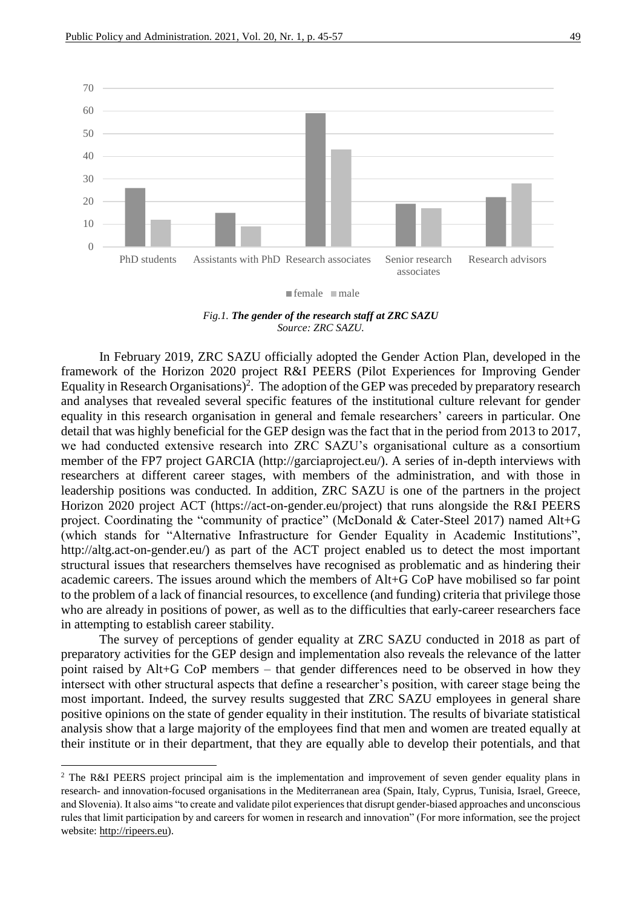



In February 2019, ZRC SAZU officially adopted the Gender Action Plan, developed in the framework of the Horizon 2020 project R&I PEERS (Pilot Experiences for Improving Gender Equality in Research Organisations)<sup>2</sup>. The adoption of the GEP was preceded by preparatory research and analyses that revealed several specific features of the institutional culture relevant for gender equality in this research organisation in general and female researchers' careers in particular. One detail that was highly beneficial for the GEP design was the fact that in the period from 2013 to 2017, we had conducted extensive research into ZRC SAZU's organisational culture as a consortium member of the FP7 project GARCIA (http://garciaproject.eu/). A series of in-depth interviews with researchers at different career stages, with members of the administration, and with those in leadership positions was conducted. In addition, ZRC SAZU is one of the partners in the project Horizon 2020 project ACT (https://act-on-gender.eu/project) that runs alongside the R&I PEERS project. Coordinating the "community of practice" (McDonald & Cater-Steel 2017) named Alt+G (which stands for "Alternative Infrastructure for Gender Equality in Academic Institutions", http://altg.act-on-gender.eu/) as part of the ACT project enabled us to detect the most important structural issues that researchers themselves have recognised as problematic and as hindering their academic careers. The issues around which the members of Alt+G CoP have mobilised so far point to the problem of a lack of financial resources, to excellence (and funding) criteria that privilege those who are already in positions of power, as well as to the difficulties that early-career researchers face in attempting to establish career stability.

The survey of perceptions of gender equality at ZRC SAZU conducted in 2018 as part of preparatory activities for the GEP design and implementation also reveals the relevance of the latter point raised by Alt+G CoP members – that gender differences need to be observed in how they intersect with other structural aspects that define a researcher's position, with career stage being the most important. Indeed, the survey results suggested that ZRC SAZU employees in general share positive opinions on the state of gender equality in their institution. The results of bivariate statistical analysis show that a large majority of the employees find that men and women are treated equally at their institute or in their department, that they are equally able to develop their potentials, and that

**.** 

<sup>&</sup>lt;sup>2</sup> The R&I PEERS project principal aim is the implementation and improvement of seven gender equality plans in research- and innovation-focused organisations in the Mediterranean area (Spain, Italy, Cyprus, Tunisia, Israel, Greece, and Slovenia). It also aims "to create and validate pilot experiences that disrupt gender-biased approaches and unconscious rules that limit participation by and careers for women in research and innovation" (For more information, see the project website: [http://ripeers.eu\)](http://ripeers.eu/).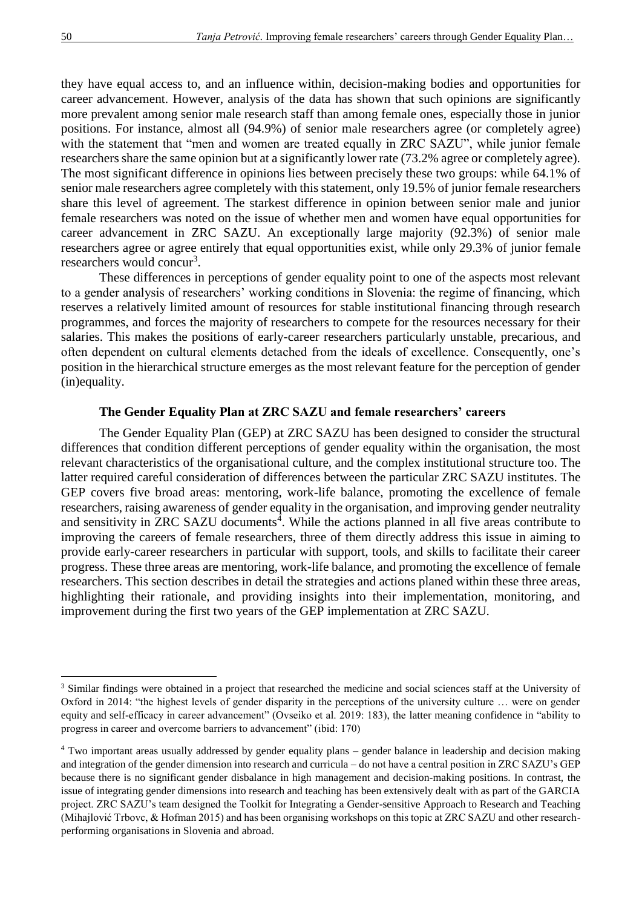they have equal access to, and an influence within, decision-making bodies and opportunities for career advancement. However, analysis of the data has shown that such opinions are significantly more prevalent among senior male research staff than among female ones, especially those in junior positions. For instance, almost all (94.9%) of senior male researchers agree (or completely agree) with the statement that "men and women are treated equally in ZRC SAZU", while junior female researchers share the same opinion but at a significantly lower rate (73.2% agree or completely agree). The most significant difference in opinions lies between precisely these two groups: while 64.1% of senior male researchers agree completely with this statement, only 19.5% of junior female researchers share this level of agreement. The starkest difference in opinion between senior male and junior female researchers was noted on the issue of whether men and women have equal opportunities for career advancement in ZRC SAZU. An exceptionally large majority (92.3%) of senior male researchers agree or agree entirely that equal opportunities exist, while only 29.3% of junior female researchers would concur<sup>3</sup>.

These differences in perceptions of gender equality point to one of the aspects most relevant to a gender analysis of researchers' working conditions in Slovenia: the regime of financing, which reserves a relatively limited amount of resources for stable institutional financing through research programmes, and forces the majority of researchers to compete for the resources necessary for their salaries. This makes the positions of early-career researchers particularly unstable, precarious, and often dependent on cultural elements detached from the ideals of excellence. Consequently, one's position in the hierarchical structure emerges as the most relevant feature for the perception of gender (in)equality.

### **The Gender Equality Plan at ZRC SAZU and female researchers' careers**

The Gender Equality Plan (GEP) at ZRC SAZU has been designed to consider the structural differences that condition different perceptions of gender equality within the organisation, the most relevant characteristics of the organisational culture, and the complex institutional structure too. The latter required careful consideration of differences between the particular ZRC SAZU institutes. The GEP covers five broad areas: mentoring, work-life balance, promoting the excellence of female researchers, raising awareness of gender equality in the organisation, and improving gender neutrality and sensitivity in ZRC SAZU documents<sup>4</sup>. While the actions planned in all five areas contribute to improving the careers of female researchers, three of them directly address this issue in aiming to provide early-career researchers in particular with support, tools, and skills to facilitate their career progress. These three areas are mentoring, work-life balance, and promoting the excellence of female researchers. This section describes in detail the strategies and actions planed within these three areas, highlighting their rationale, and providing insights into their implementation, monitoring, and improvement during the first two years of the GEP implementation at ZRC SAZU.

1

<sup>&</sup>lt;sup>3</sup> Similar findings were obtained in a project that researched the medicine and social sciences staff at the University of Oxford in 2014: "the highest levels of gender disparity in the perceptions of the university culture … were on gender equity and self-efficacy in career advancement" (Ovseiko et al. 2019: 183), the latter meaning confidence in "ability to progress in career and overcome barriers to advancement" (ibid: 170)

<sup>4</sup> Two important areas usually addressed by gender equality plans – gender balance in leadership and decision making and integration of the gender dimension into research and curricula – do not have a central position in ZRC SAZU's GEP because there is no significant gender disbalance in high management and decision-making positions. In contrast, the issue of integrating gender dimensions into research and teaching has been extensively dealt with as part of the GARCIA project. ZRC SAZU's team designed the Toolkit for Integrating a Gender-sensitive Approach to Research and Teaching (Mihajlović Trbovc, & Hofman 2015) and has been organising workshops on this topic at ZRC SAZU and other researchperforming organisations in Slovenia and abroad.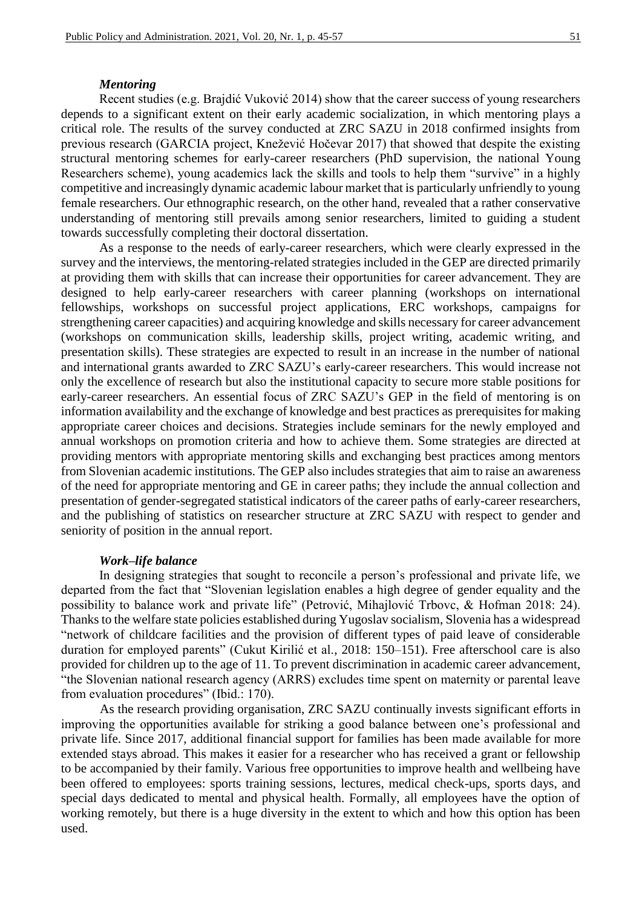#### *Mentoring*

Recent studies (e.g. Brajdić Vuković 2014) show that the career success of young researchers depends to a significant extent on their early academic socialization, in which mentoring plays a critical role. The results of the survey conducted at ZRC SAZU in 2018 confirmed insights from previous research (GARCIA project, Knežević Hočevar 2017) that showed that despite the existing structural mentoring schemes for early-career researchers (PhD supervision, the national Young Researchers scheme), young academics lack the skills and tools to help them "survive" in a highly competitive and increasingly dynamic academic labour market that is particularly unfriendly to young female researchers. Our ethnographic research, on the other hand, revealed that a rather conservative understanding of mentoring still prevails among senior researchers, limited to guiding a student towards successfully completing their doctoral dissertation.

As a response to the needs of early-career researchers, which were clearly expressed in the survey and the interviews, the mentoring-related strategies included in the GEP are directed primarily at providing them with skills that can increase their opportunities for career advancement. They are designed to help early-career researchers with career planning (workshops on international fellowships, workshops on successful project applications, ERC workshops, campaigns for strengthening career capacities) and acquiring knowledge and skills necessary for career advancement (workshops on communication skills, leadership skills, project writing, academic writing, and presentation skills). These strategies are expected to result in an increase in the number of national and international grants awarded to ZRC SAZU's early-career researchers. This would increase not only the excellence of research but also the institutional capacity to secure more stable positions for early-career researchers. An essential focus of ZRC SAZU's GEP in the field of mentoring is on information availability and the exchange of knowledge and best practices as prerequisites for making appropriate career choices and decisions. Strategies include seminars for the newly employed and annual workshops on promotion criteria and how to achieve them. Some strategies are directed at providing mentors with appropriate mentoring skills and exchanging best practices among mentors from Slovenian academic institutions. The GEP also includes strategies that aim to raise an awareness of the need for appropriate mentoring and GE in career paths; they include the annual collection and presentation of gender-segregated statistical indicators of the career paths of early-career researchers, and the publishing of statistics on researcher structure at ZRC SAZU with respect to gender and seniority of position in the annual report.

#### *Work–life balance*

In designing strategies that sought to reconcile a person's professional and private life, we departed from the fact that "Slovenian legislation enables a high degree of gender equality and the possibility to balance work and private life" (Petrović, Mihajlović Trbovc, & Hofman 2018: 24). Thanks to the welfare state policies established during Yugoslav socialism, Slovenia has a widespread "network of childcare facilities and the provision of different types of paid leave of considerable duration for employed parents" (Cukut Kirilić et al., 2018: 150–151). Free afterschool care is also provided for children up to the age of 11. To prevent discrimination in academic career advancement, "the Slovenian national research agency (ARRS) excludes time spent on maternity or parental leave from evaluation procedures" (Ibid.: 170).

As the research providing organisation, ZRC SAZU continually invests significant efforts in improving the opportunities available for striking a good balance between one's professional and private life. Since 2017, additional financial support for families has been made available for more extended stays abroad. This makes it easier for a researcher who has received a grant or fellowship to be accompanied by their family. Various free opportunities to improve health and wellbeing have been offered to employees: sports training sessions, lectures, medical check-ups, sports days, and special days dedicated to mental and physical health. Formally, all employees have the option of working remotely, but there is a huge diversity in the extent to which and how this option has been used.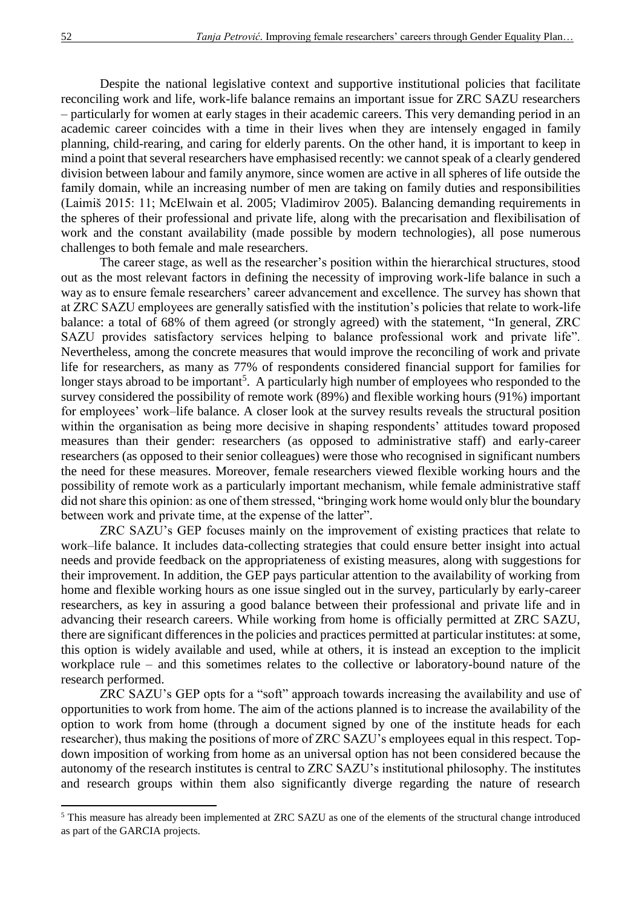Despite the national legislative context and supportive institutional policies that facilitate reconciling work and life, work-life balance remains an important issue for ZRC SAZU researchers – particularly for women at early stages in their academic careers. This very demanding period in an academic career coincides with a time in their lives when they are intensely engaged in family planning, child-rearing, and caring for elderly parents. On the other hand, it is important to keep in mind a point that several researchers have emphasised recently: we cannot speak of a clearly gendered division between labour and family anymore, since women are active in all spheres of life outside the family domain, while an increasing number of men are taking on family duties and responsibilities (Laimiš 2015: 11; McElwain et al. 2005; Vladimirov 2005). Balancing demanding requirements in the spheres of their professional and private life, along with the precarisation and flexibilisation of work and the constant availability (made possible by modern technologies), all pose numerous challenges to both female and male researchers.

The career stage, as well as the researcher's position within the hierarchical structures, stood out as the most relevant factors in defining the necessity of improving work-life balance in such a way as to ensure female researchers' career advancement and excellence. The survey has shown that at ZRC SAZU employees are generally satisfied with the institution's policies that relate to work-life balance: a total of 68% of them agreed (or strongly agreed) with the statement, "In general, ZRC SAZU provides satisfactory services helping to balance professional work and private life". Nevertheless, among the concrete measures that would improve the reconciling of work and private life for researchers, as many as 77% of respondents considered financial support for families for longer stays abroad to be important<sup>5</sup>. A particularly high number of employees who responded to the survey considered the possibility of remote work (89%) and flexible working hours (91%) important for employees' work–life balance. A closer look at the survey results reveals the structural position within the organisation as being more decisive in shaping respondents' attitudes toward proposed measures than their gender: researchers (as opposed to administrative staff) and early-career researchers (as opposed to their senior colleagues) were those who recognised in significant numbers the need for these measures. Moreover, female researchers viewed flexible working hours and the possibility of remote work as a particularly important mechanism, while female administrative staff did not share this opinion: as one of them stressed, "bringing work home would only blur the boundary between work and private time, at the expense of the latter".

ZRC SAZU's GEP focuses mainly on the improvement of existing practices that relate to work–life balance. It includes data-collecting strategies that could ensure better insight into actual needs and provide feedback on the appropriateness of existing measures, along with suggestions for their improvement. In addition, the GEP pays particular attention to the availability of working from home and flexible working hours as one issue singled out in the survey, particularly by early-career researchers, as key in assuring a good balance between their professional and private life and in advancing their research careers. While working from home is officially permitted at ZRC SAZU, there are significant differences in the policies and practices permitted at particular institutes: at some, this option is widely available and used, while at others, it is instead an exception to the implicit workplace rule – and this sometimes relates to the collective or laboratory-bound nature of the research performed.

ZRC SAZU's GEP opts for a "soft" approach towards increasing the availability and use of opportunities to work from home. The aim of the actions planned is to increase the availability of the option to work from home (through a document signed by one of the institute heads for each researcher), thus making the positions of more of ZRC SAZU's employees equal in this respect. Topdown imposition of working from home as an universal option has not been considered because the autonomy of the research institutes is central to ZRC SAZU's institutional philosophy. The institutes and research groups within them also significantly diverge regarding the nature of research

**.** 

<sup>5</sup> This measure has already been implemented at ZRC SAZU as one of the elements of the structural change introduced as part of the GARCIA projects.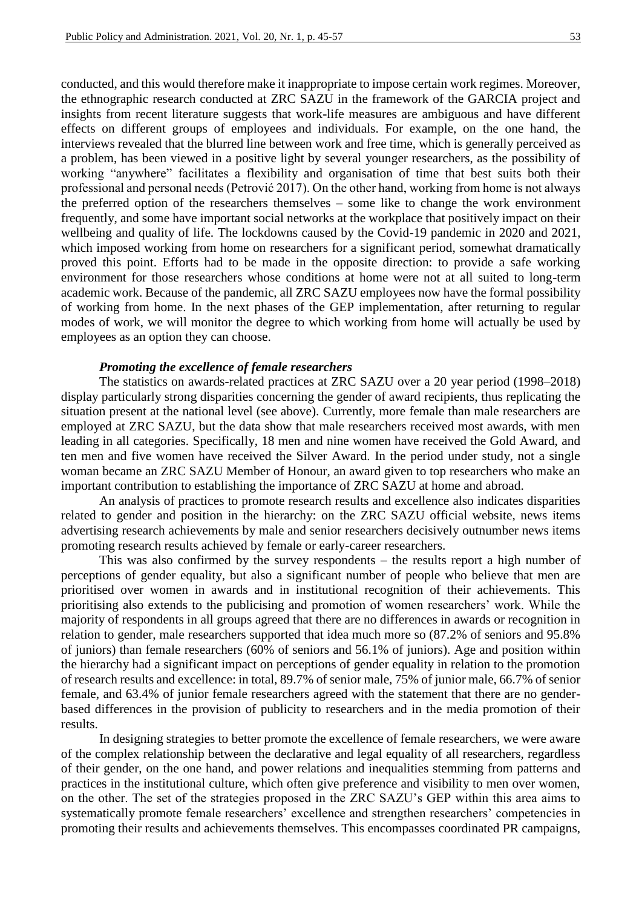conducted, and this would therefore make it inappropriate to impose certain work regimes. Moreover, the ethnographic research conducted at ZRC SAZU in the framework of the GARCIA project and insights from recent literature suggests that work-life measures are ambiguous and have different effects on different groups of employees and individuals. For example, on the one hand, the interviews revealed that the blurred line between work and free time, which is generally perceived as a problem, has been viewed in a positive light by several younger researchers, as the possibility of working "anywhere" facilitates a flexibility and organisation of time that best suits both their professional and personal needs (Petrović 2017). On the other hand, working from home is not always the preferred option of the researchers themselves – some like to change the work environment frequently, and some have important social networks at the workplace that positively impact on their wellbeing and quality of life. The lockdowns caused by the Covid-19 pandemic in 2020 and 2021, which imposed working from home on researchers for a significant period, somewhat dramatically proved this point. Efforts had to be made in the opposite direction: to provide a safe working environment for those researchers whose conditions at home were not at all suited to long-term academic work. Because of the pandemic, all ZRC SAZU employees now have the formal possibility of working from home. In the next phases of the GEP implementation, after returning to regular modes of work, we will monitor the degree to which working from home will actually be used by employees as an option they can choose.

#### *Promoting the excellence of female researchers*

The statistics on awards-related practices at ZRC SAZU over a 20 year period (1998–2018) display particularly strong disparities concerning the gender of award recipients, thus replicating the situation present at the national level (see above). Currently, more female than male researchers are employed at ZRC SAZU, but the data show that male researchers received most awards, with men leading in all categories. Specifically, 18 men and nine women have received the Gold Award, and ten men and five women have received the Silver Award. In the period under study, not a single woman became an ZRC SAZU Member of Honour, an award given to top researchers who make an important contribution to establishing the importance of ZRC SAZU at home and abroad.

An analysis of practices to promote research results and excellence also indicates disparities related to gender and position in the hierarchy: on the ZRC SAZU official website, news items advertising research achievements by male and senior researchers decisively outnumber news items promoting research results achieved by female or early-career researchers.

This was also confirmed by the survey respondents – the results report a high number of perceptions of gender equality, but also a significant number of people who believe that men are prioritised over women in awards and in institutional recognition of their achievements. This prioritising also extends to the publicising and promotion of women researchers' work. While the majority of respondents in all groups agreed that there are no differences in awards or recognition in relation to gender, male researchers supported that idea much more so (87.2% of seniors and 95.8% of juniors) than female researchers (60% of seniors and 56.1% of juniors). Age and position within the hierarchy had a significant impact on perceptions of gender equality in relation to the promotion of research results and excellence: in total, 89.7% of senior male, 75% of junior male, 66.7% of senior female, and 63.4% of junior female researchers agreed with the statement that there are no genderbased differences in the provision of publicity to researchers and in the media promotion of their results.

In designing strategies to better promote the excellence of female researchers, we were aware of the complex relationship between the declarative and legal equality of all researchers, regardless of their gender, on the one hand, and power relations and inequalities stemming from patterns and practices in the institutional culture, which often give preference and visibility to men over women, on the other. The set of the strategies proposed in the ZRC SAZU's GEP within this area aims to systematically promote female researchers' excellence and strengthen researchers' competencies in promoting their results and achievements themselves. This encompasses coordinated PR campaigns,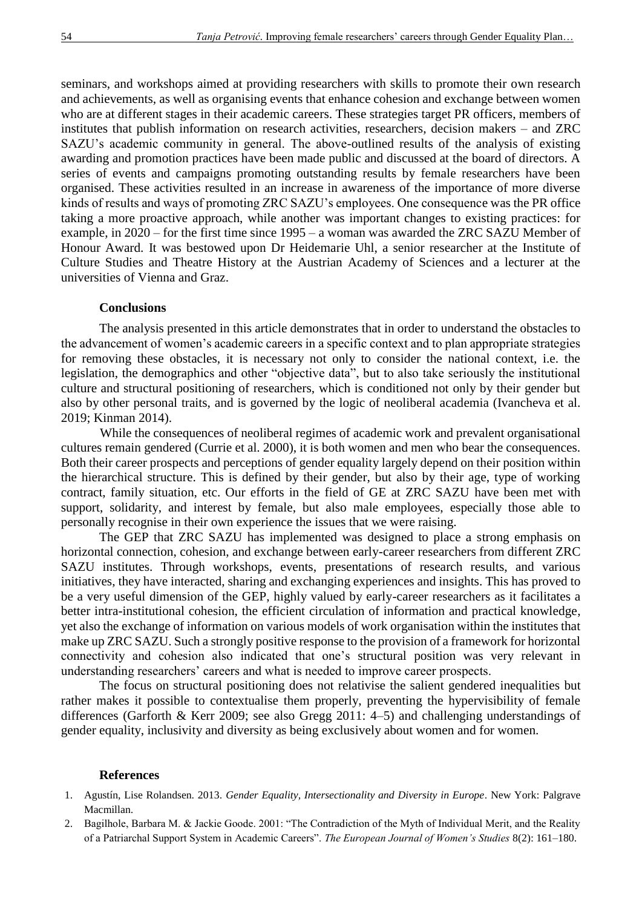seminars, and workshops aimed at providing researchers with skills to promote their own research and achievements, as well as organising events that enhance cohesion and exchange between women who are at different stages in their academic careers. These strategies target PR officers, members of institutes that publish information on research activities, researchers, decision makers – and ZRC SAZU's academic community in general. The above-outlined results of the analysis of existing awarding and promotion practices have been made public and discussed at the board of directors. A series of events and campaigns promoting outstanding results by female researchers have been organised. These activities resulted in an increase in awareness of the importance of more diverse kinds of results and ways of promoting ZRC SAZU's employees. One consequence was the PR office taking a more proactive approach, while another was important changes to existing practices: for example, in 2020 – for the first time since 1995 – a woman was awarded the ZRC SAZU Member of Honour Award. It was bestowed upon Dr Heidemarie Uhl, a senior researcher at the Institute of Culture Studies and Theatre History at the Austrian Academy of Sciences and a lecturer at the universities of Vienna and Graz.

### **Conclusions**

The analysis presented in this article demonstrates that in order to understand the obstacles to the advancement of women's academic careers in a specific context and to plan appropriate strategies for removing these obstacles, it is necessary not only to consider the national context, i.e. the legislation, the demographics and other "objective data", but to also take seriously the institutional culture and structural positioning of researchers, which is conditioned not only by their gender but also by other personal traits, and is governed by the logic of neoliberal academia (Ivancheva et al. 2019; Kinman 2014).

While the consequences of neoliberal regimes of academic work and prevalent organisational cultures remain gendered (Currie et al. 2000), it is both women and men who bear the consequences. Both their career prospects and perceptions of gender equality largely depend on their position within the hierarchical structure. This is defined by their gender, but also by their age, type of working contract, family situation, etc. Our efforts in the field of GE at ZRC SAZU have been met with support, solidarity, and interest by female, but also male employees, especially those able to personally recognise in their own experience the issues that we were raising.

The GEP that ZRC SAZU has implemented was designed to place a strong emphasis on horizontal connection, cohesion, and exchange between early-career researchers from different ZRC SAZU institutes. Through workshops, events, presentations of research results, and various initiatives, they have interacted, sharing and exchanging experiences and insights. This has proved to be a very useful dimension of the GEP, highly valued by early-career researchers as it facilitates a better intra-institutional cohesion, the efficient circulation of information and practical knowledge, yet also the exchange of information on various models of work organisation within the institutes that make up ZRC SAZU. Such a strongly positive response to the provision of a framework for horizontal connectivity and cohesion also indicated that one's structural position was very relevant in understanding researchers' careers and what is needed to improve career prospects.

The focus on structural positioning does not relativise the salient gendered inequalities but rather makes it possible to contextualise them properly, preventing the hypervisibility of female differences (Garforth & Kerr 2009; see also Gregg 2011: 4–5) and challenging understandings of gender equality, inclusivity and diversity as being exclusively about women and for women.

#### **References**

- 1. Agustín, Lise Rolandsen. 2013. *Gender Equality, Intersectionality and Diversity in Europe*. New York: Palgrave Macmillan.
- 2. Bagilhole, Barbara M. & Jackie Goode. 2001: "The Contradiction of the Myth of Individual Merit, and the Reality of a Patriarchal Support System in Academic Careers". *The European Journal of Women's Studies* 8(2): 161–180.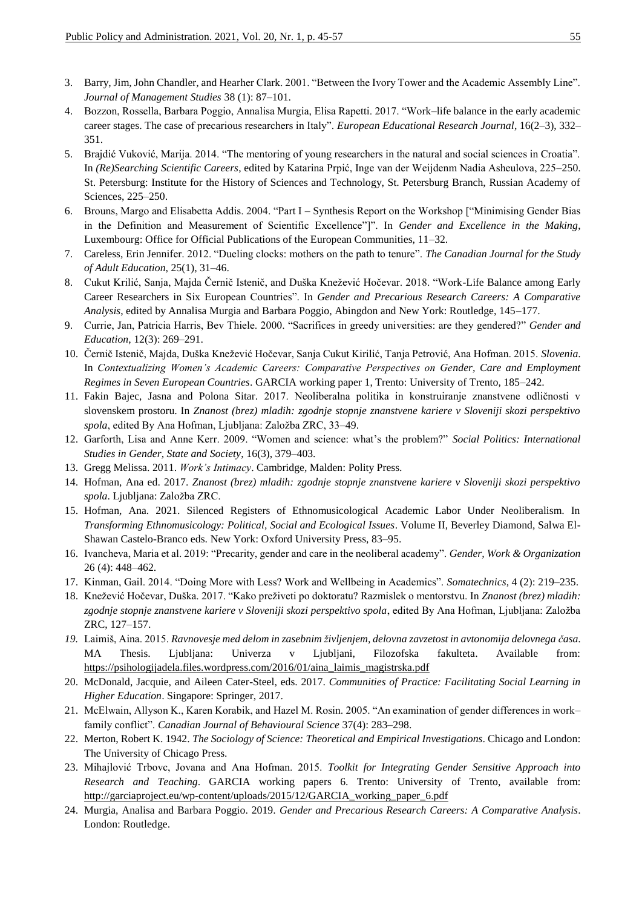- 3. Barry, Jim, John Chandler, and Hearher Clark. 2001. "Between the Ivory Tower and the Academic Assembly Line". *Journal of Management Studies* 38 (1): 87–101.
- 4. Bozzon, Rossella, Barbara Poggio, Annalisa Murgia, Elisa Rapetti. 2017. "Work–life balance in the early academic career stages. The case of precarious researchers in Italy". *European Educational Research Journal*, 16(2–3), 332– 351.
- 5. Brajdić Vuković, Marija. 2014. "The mentoring of young researchers in the natural and social sciences in Croatia". In *(Re)Searching Scientific Careers*, edited by Katarina Prpić, Inge van der Weijdenm Nadia Asheulova, 225–250. St. Petersburg: Institute for the History of Sciences and Technology, St. Petersburg Branch, Russian Academy of Sciences, 225–250.
- 6. Brouns, Margo and Elisabetta Addis. 2004. "Part I Synthesis Report on the Workshop ["Minimising Gender Bias in the Definition and Measurement of Scientific Excellence"]". In *Gender and Excellence in the Making*, Luxembourg: Office for Official Publications of the European Communities, 11–32.
- 7. Careless, Erin Jennifer. 2012. "Dueling clocks: mothers on the path to tenure". *The Canadian Journal for the Study of Adult Education*, 25(1), 31–46.
- 8. Cukut Krilić, Sanja, Majda Černič Istenič, and Duška Knežević Hočevar. 2018. "Work-Life Balance among Early Career Researchers in Six European Countries". In *Gender and Precarious Research Careers: A Comparative Analysis*, edited by Annalisa Murgia and Barbara Poggio, Abingdon and New York: Routledge, 145–177.
- 9. Currie, Jan, Patricia Harris, Bev Thiele. 2000. "Sacrifices in greedy universities: are they gendered?" *Gender and Education*, 12(3): 269–291.
- 10. Černič Istenič, Majda, Duška Knežević Hočevar, Sanja Cukut Kirilić, Tanja Petrović, Ana Hofman. 2015. *Slovenia*. In *Contextualizing Women's Academic Careers: Comparative Perspectives on Gender, Care and Employment Regimes in Seven European Countries*. GARCIA working paper 1, Trento: University of Trento, 185–242.
- 11. Fakin Bajec, Jasna and Polona Sitar. 2017. Neoliberalna politika in konstruiranje znanstvene odličnosti v slovenskem prostoru. In *Znanost (brez) mladih: zgodnje stopnje znanstvene kariere v Sloveniji skozi perspektivo spola*, edited By Ana Hofman, Ljubljana: Založba ZRC, 33–49.
- 12. Garforth, Lisa and Anne Kerr. 2009. "Women and science: what's the problem?" *Social Politics: International Studies in Gender, State and Society*, 16(3), 379–403.
- 13. Gregg Melissa. 2011. *Work's Intimacy*. Cambridge, Malden: Polity Press.
- 14. Hofman, Ana ed. 2017. *Znanost (brez) mladih: zgodnje stopnje znanstvene kariere v Sloveniji skozi perspektivo spola*. Ljubljana: Založba ZRC.
- 15. Hofman, Ana. 2021. Silenced Registers of Ethnomusicological Academic Labor Under Neoliberalism. In *Transforming Ethnomusicology: Political, Social and Ecological Issues*. Volume II, Beverley Diamond, Salwa El-Shawan Castelo-Branco eds. New York: Oxford University Press, 83–95.
- 16. Ivancheva, Maria et al. 2019: "Precarity, gender and care in the neoliberal academy". *Gender, Work & Organization* 26 (4): 448–462.
- 17. Kinman, Gail. 2014. "Doing More with Less? Work and Wellbeing in Academics". *Somatechnics*, 4 (2): 219–235.
- 18. Knežević Hočevar, Duška. 2017. "Kako preživeti po doktoratu? Razmislek o mentorstvu. In *Znanost (brez) mladih: zgodnje stopnje znanstvene kariere v Sloveniji skozi perspektivo spola*, edited By Ana Hofman, Ljubljana: Založba ZRC, 127–157.
- *19.* Laimiš, Aina. 2015. *Ravnovesje med delom in zasebnim življenjem, delovna zavzetost in avtonomija delovnega časa*. MA Thesis. Ljubljana: Univerza v Ljubljani, Filozofska fakulteta. Available from: [https://psihologijadela.files.wordpress.com/2016/01/aina\\_laimis\\_magistrska.pdf](https://psihologijadela.files.wordpress.com/2016/01/aina_laimis_magistrska.pdf)
- 20. McDonald, Jacquie, and Aileen Cater-Steel, eds. 2017. *Communities of Practice: Facilitating Social Learning in Higher Education*. Singapore: Springer, 2017.
- 21. McElwain, Allyson K., Karen Korabik, and Hazel M. Rosin. 2005. "An examination of gender differences in work– family conflict". *Canadian Journal of Behavioural Science* 37(4): 283–298.
- 22. Merton, Robert K. 1942. *The Sociology of Science: Theoretical and Empirical Investigations*. Chicago and London: The University of Chicago Press.
- 23. Mihajlović Trbovc, Jovana and Ana Hofman. 2015. *Toolkit for Integrating Gender Sensitive Approach into Research and Teaching*. GARCIA working papers 6. Trento: University of Trento, available from: [http://garciaproject.eu/wp-content/uploads/2015/12/GARCIA\\_working\\_paper\\_6.pdf](http://garciaproject.eu/wp-content/uploads/2015/12/GARCIA_working_paper_6.pdf)
- 24. Murgia, Analisa and Barbara Poggio. 2019. *Gender and Precarious Research Careers: A Comparative Analysis*. London: Routledge.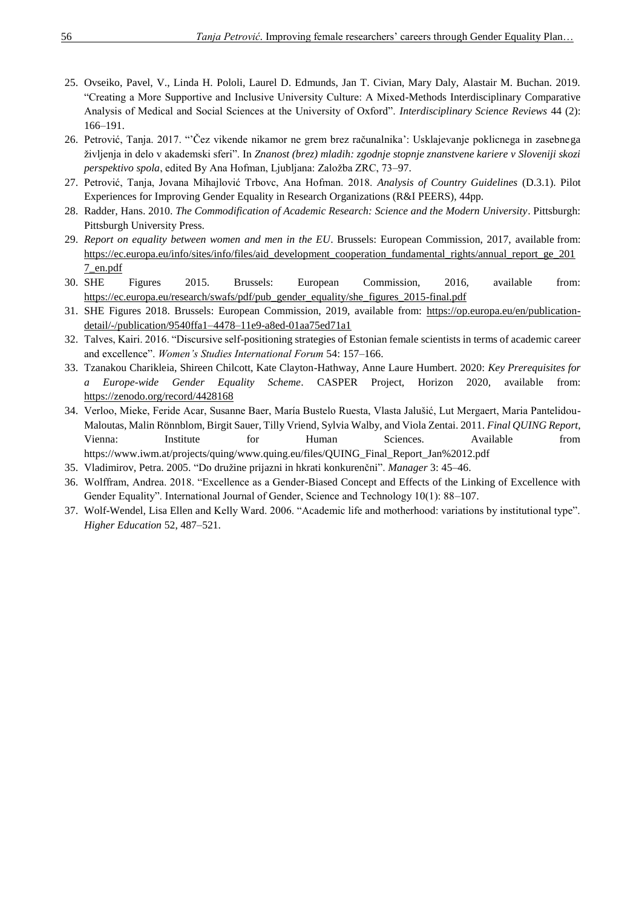- 25. Ovseiko, Pavel, V., Linda H. Pololi, Laurel D. Edmunds, Jan T. Civian, Mary Daly, Alastair M. Buchan. 2019. "Creating a More Supportive and Inclusive University Culture: A Mixed-Methods Interdisciplinary Comparative Analysis of Medical and Social Sciences at the University of Oxford". *Interdisciplinary Science Reviews* 44 (2): 166–191.
- 26. Petrović, Tanja. 2017. "'Čez vikende nikamor ne grem brez računalnika': Usklajevanje poklicnega in zasebnega življenja in delo v akademski sferi". In *Znanost (brez) mladih: zgodnje stopnje znanstvene kariere v Sloveniji skozi perspektivo spola*, edited By Ana Hofman, Ljubljana: Založba ZRC, 73–97.
- 27. Petrović, Tanja, Jovana Mihajlović Trbovc, Ana Hofman. 2018. *Analysis of Country Guidelines* (D.3.1). Pilot Experiences for Improving Gender Equality in Research Organizations (R&I PEERS), 44pp.
- 28. Radder, Hans. 2010. *The Commodification of Academic Research: Science and the Modern University*. Pittsburgh: Pittsburgh University Press.
- 29. *Report on equality between women and men in the EU*. Brussels: European Commission, 2017, available from: [https://ec.europa.eu/info/sites/info/files/aid\\_development\\_cooperation\\_fundamental\\_rights/annual\\_report\\_ge\\_201](https://ec.europa.eu/info/sites/info/files/aid_development_cooperation_fundamental_rights/annual_report_ge_2017_en.pdf) [7\\_en.pdf](https://ec.europa.eu/info/sites/info/files/aid_development_cooperation_fundamental_rights/annual_report_ge_2017_en.pdf)
- 30. SHE Figures 2015. Brussels: European Commission, 2016, available from: [https://ec.europa.eu/research/swafs/pdf/pub\\_gender\\_equality/she\\_figures\\_2015-final.pdf](https://ec.europa.eu/research/swafs/pdf/pub_gender_equality/she_figures_2015-final.pdf)
- 31. SHE Figures 2018. Brussels: European Commission, 2019, available from: [https://op.europa.eu/en/publication](https://op.europa.eu/en/publication-detail/-/publication/9540ffa1-4478-11e9-a8ed-01aa75ed71a1)[detail/-/publication/9540ffa1–4478–11e9-a8ed-01aa75ed71a1](https://op.europa.eu/en/publication-detail/-/publication/9540ffa1-4478-11e9-a8ed-01aa75ed71a1)
- 32. Talves, Kairi. 2016. "Discursive self-positioning strategies of Estonian female scientists in terms of academic career and excellence". *Women's Studies International Forum* 54: 157–166.
- 33. Tzanakou Charikleia, Shireen Chilcott, Kate Clayton-Hathway, Anne Laure Humbert. 2020: *Key Prerequisites for a Europe-wide Gender Equality Scheme*. CASPER Project, Horizon 2020, available from: <https://zenodo.org/record/4428168>
- 34. Verloo, Mieke, Feride Acar, Susanne Baer, María Bustelo Ruesta, Vlasta Jalušić, Lut Mergaert, Maria Pantelidou-Maloutas, Malin Rönnblom, Birgit Sauer, Tilly Vriend, Sylvia Walby, and Viola Zentai. 2011. *Final QUING Report*, Vienna: Institute for Human Sciences. Available from https://www.iwm.at/projects/quing/www.quing.eu/files/QUING\_Final\_Report\_Jan%2012.pdf
- 35. Vladimirov, Petra. 2005. "Do družine prijazni in hkrati konkurenčni". *Manager* 3: 45–46.
- 36. Wolffram, Andrea. 2018. "Excellence as a Gender-Biased Concept and Effects of the Linking of Excellence with Gender Equality". International Journal of Gender, Science and Technology 10(1): 88–107.
- 37. Wolf-Wendel, Lisa Ellen and Kelly Ward. 2006. "Academic life and motherhood: variations by institutional type". *Higher Education* 52, 487–521.